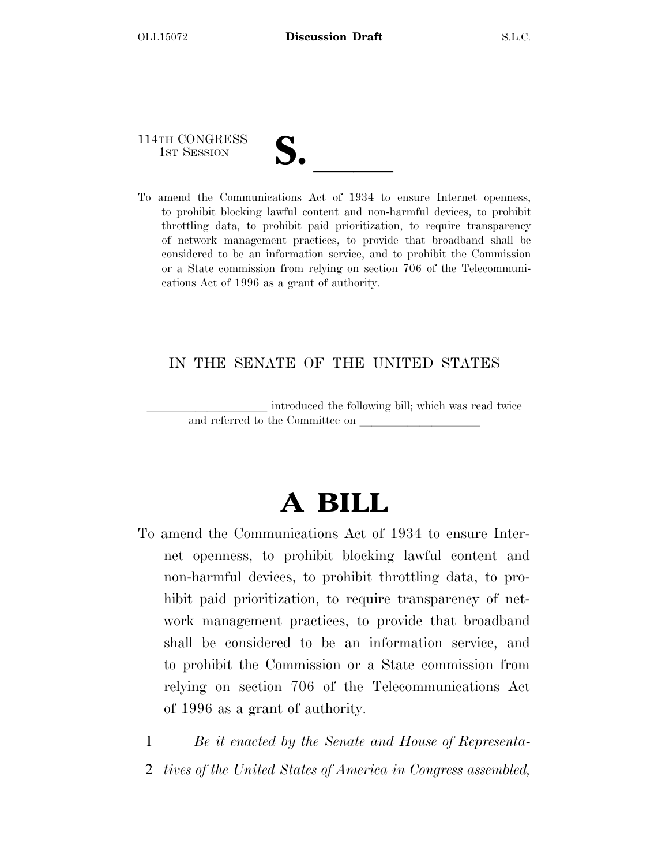114TH CONGRESS

- 
- 114TH CONGRESS<br>1st SESSION<br>To amend the Communications Act of 1934 to ensure Internet openness, to prohibit blocking lawful content and non-harmful devices, to prohibit throttling data, to prohibit paid prioritization, to require transparency of network management practices, to provide that broadband shall be considered to be an information service, and to prohibit the Commission or a State commission from relying on section 706 of the Telecommunications Act of 1996 as a grant of authority.

## IN THE SENATE OF THE UNITED STATES

introduced the following bill; which was read twice and referred to the Committee on

# **A BILL**

To amend the Communications Act of 1934 to ensure Internet openness, to prohibit blocking lawful content and non-harmful devices, to prohibit throttling data, to prohibit paid prioritization, to require transparency of network management practices, to provide that broadband shall be considered to be an information service, and to prohibit the Commission or a State commission from relying on section 706 of the Telecommunications Act of 1996 as a grant of authority.

1 *Be it enacted by the Senate and House of Representa-*2 *tives of the United States of America in Congress assembled,*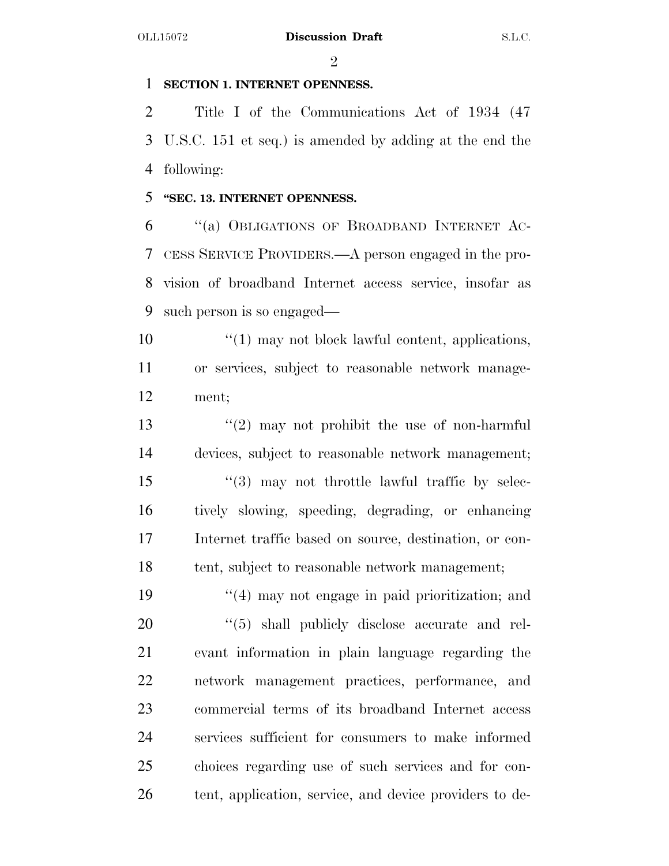$\mathfrak{D}$ 

## **SECTION 1. INTERNET OPENNESS.**

 Title I of the Communications Act of 1934 (47 U.S.C. 151 et seq.) is amended by adding at the end the following:

## **''SEC. 13. INTERNET OPENNESS.**

 ''(a) OBLIGATIONS OF BROADBAND INTERNET AC- CESS SERVICE PROVIDERS.—A person engaged in the pro- vision of broadband Internet access service, insofar as such person is so engaged—

10 ''(1) may not block lawful content, applications, or services, subject to reasonable network manage-ment;

13 ''(2) may not prohibit the use of non-harmful devices, subject to reasonable network management; 15 "(3) may not throttle lawful traffic by selec- tively slowing, speeding, degrading, or enhancing Internet traffic based on source, destination, or con-tent, subject to reasonable network management;

19 ''(4) may not engage in paid prioritization; and  $\frac{1}{20}$   $\frac{1}{5}$  shall publicly disclose accurate and rel- evant information in plain language regarding the network management practices, performance, and commercial terms of its broadband Internet access services sufficient for consumers to make informed choices regarding use of such services and for con-tent, application, service, and device providers to de-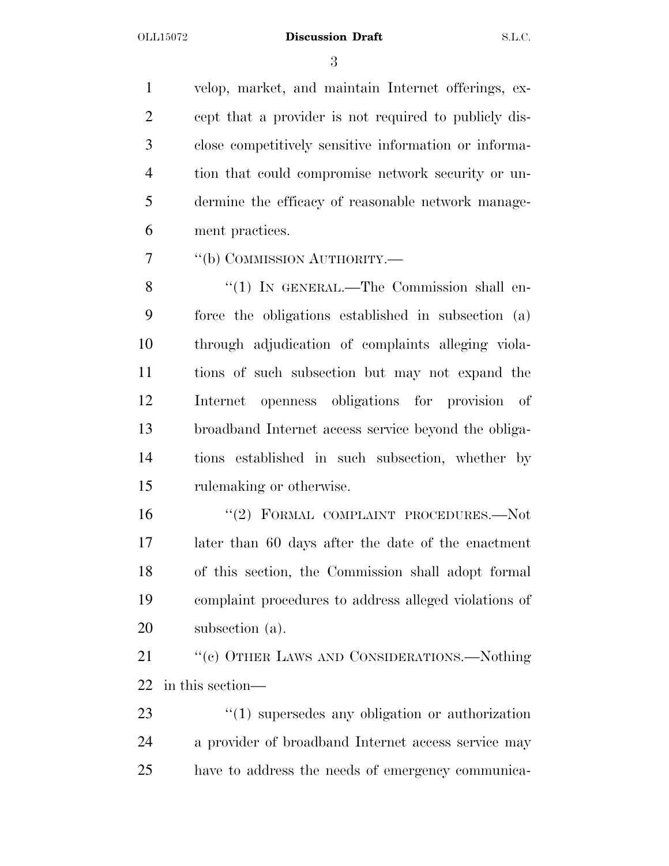#### OLL15072 **Discussion Draft** S.L.C.

 velop, market, and maintain Internet offerings, ex- cept that a provider is not required to publicly dis- close competitively sensitive information or informa- tion that could compromise network security or un- dermine the efficacy of reasonable network manage-ment practices.

7 "(b) COMMISSION AUTHORITY.—

8 "(1) IN GENERAL.—The Commission shall en- force the obligations established in subsection (a) through adjudication of complaints alleging viola- tions of such subsection but may not expand the Internet openness obligations for provision of broadband Internet access service beyond the obliga- tions established in such subsection, whether by rulemaking or otherwise.

 ''(2) FORMAL COMPLAINT PROCEDURES.—Not later than 60 days after the date of the enactment of this section, the Commission shall adopt formal complaint procedures to address alleged violations of subsection (a).

21 ""(c) OTHER LAWS AND CONSIDERATIONS.—Nothing in this section—

23 ''(1) supersedes any obligation or authorization a provider of broadband Internet access service may have to address the needs of emergency communica-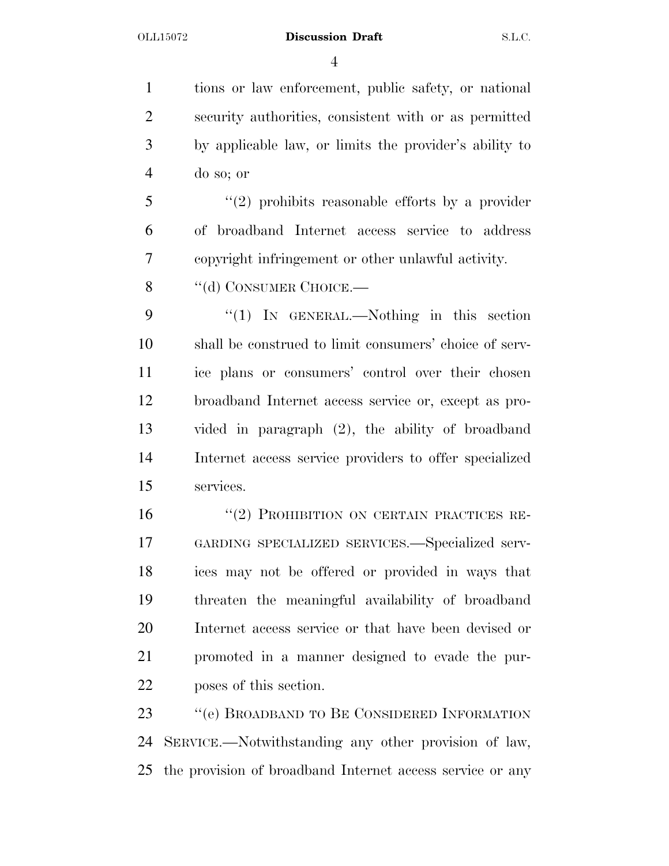### OLL15072 **Discussion Draft** S.L.C.

 tions or law enforcement, public safety, or national security authorities, consistent with or as permitted by applicable law, or limits the provider's ability to do so; or

 ''(2) prohibits reasonable efforts by a provider of broadband Internet access service to address copyright infringement or other unlawful activity.

8 "(d) CONSUMER CHOICE.—

9 "(1) IN GENERAL.—Nothing in this section shall be construed to limit consumers' choice of serv- ice plans or consumers' control over their chosen broadband Internet access service or, except as pro- vided in paragraph (2), the ability of broadband Internet access service providers to offer specialized services.

16 "(2) PROHIBITION ON CERTAIN PRACTICES RE- GARDING SPECIALIZED SERVICES.—Specialized serv- ices may not be offered or provided in ways that threaten the meaningful availability of broadband Internet access service or that have been devised or promoted in a manner designed to evade the pur-poses of this section.

 ''(e) BROADBAND TO BE CONSIDERED INFORMATION SERVICE.—Notwithstanding any other provision of law, the provision of broadband Internet access service or any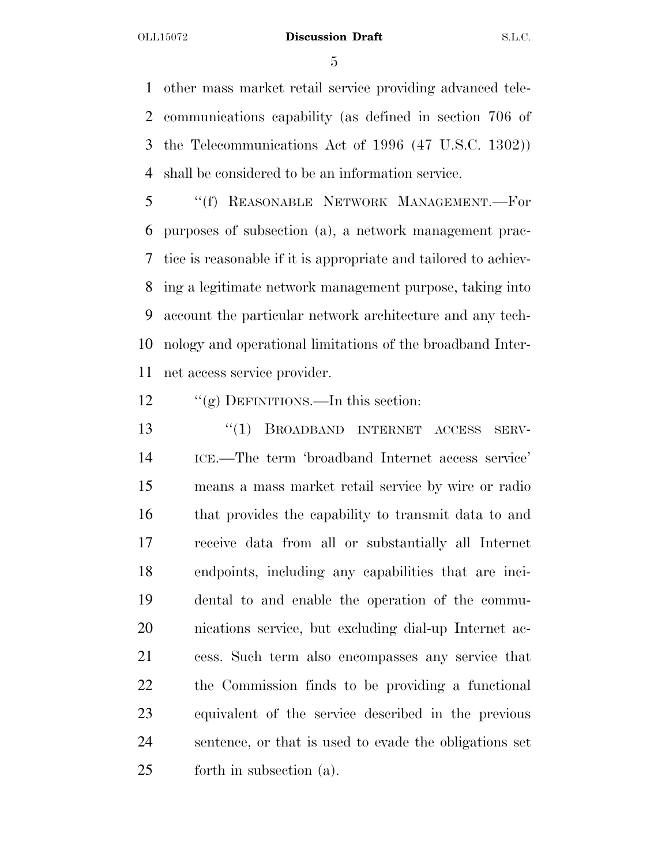#### OLL15072 **Discussion Draft** S.L.C.

 other mass market retail service providing advanced tele- communications capability (as defined in section 706 of the Telecommunications Act of 1996 (47 U.S.C. 1302)) shall be considered to be an information service.

 ''(f) REASONABLE NETWORK MANAGEMENT.—For purposes of subsection (a), a network management prac- tice is reasonable if it is appropriate and tailored to achiev- ing a legitimate network management purpose, taking into account the particular network architecture and any tech- nology and operational limitations of the broadband Inter-net access service provider.

12 "(g) DEFINITIONS.—In this section:

 ''(1) BROADBAND INTERNET ACCESS SERV- ICE.—The term 'broadband Internet access service' means a mass market retail service by wire or radio that provides the capability to transmit data to and receive data from all or substantially all Internet endpoints, including any capabilities that are inci- dental to and enable the operation of the commu- nications service, but excluding dial-up Internet ac- cess. Such term also encompasses any service that the Commission finds to be providing a functional equivalent of the service described in the previous sentence, or that is used to evade the obligations set forth in subsection (a).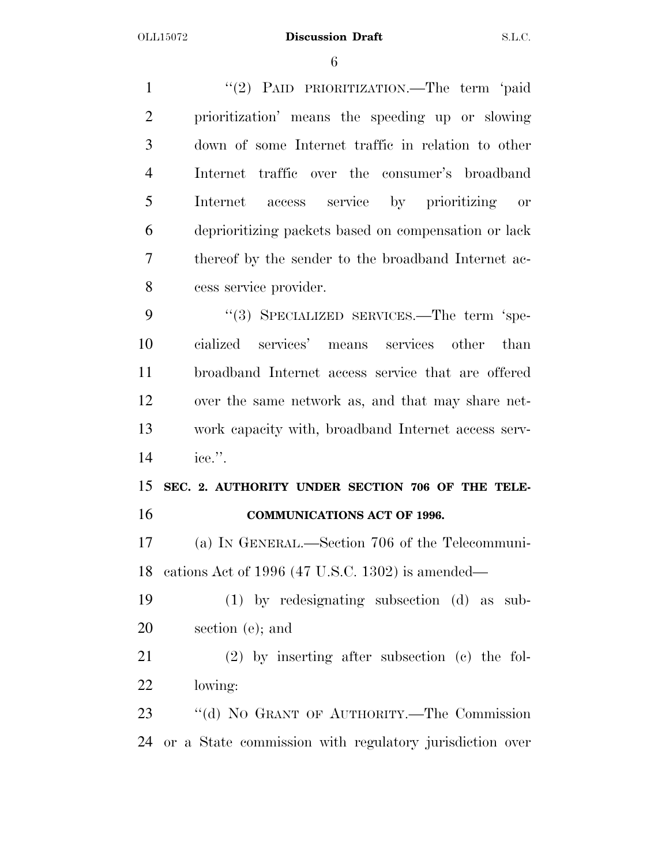1 "(2) PAID PRIORITIZATION.—The term 'paid prioritization' means the speeding up or slowing down of some Internet traffic in relation to other Internet traffic over the consumer's broadband Internet access service by prioritizing or deprioritizing packets based on compensation or lack thereof by the sender to the broadband Internet ac-cess service provider.

9 "(3) SPECIALIZED SERVICES.—The term 'spe- cialized services' means services other than broadband Internet access service that are offered over the same network as, and that may share net- work capacity with, broadband Internet access serv-ice.''.

 **SEC. 2. AUTHORITY UNDER SECTION 706 OF THE TELE-COMMUNICATIONS ACT OF 1996.** 

 (a) IN GENERAL.—Section 706 of the Telecommuni-cations Act of 1996 (47 U.S.C. 1302) is amended—

 (1) by redesignating subsection (d) as sub-section (e); and

 (2) by inserting after subsection (c) the fol-lowing:

 ''(d) NO GRANT OF AUTHORITY.—The Commission or a State commission with regulatory jurisdiction over